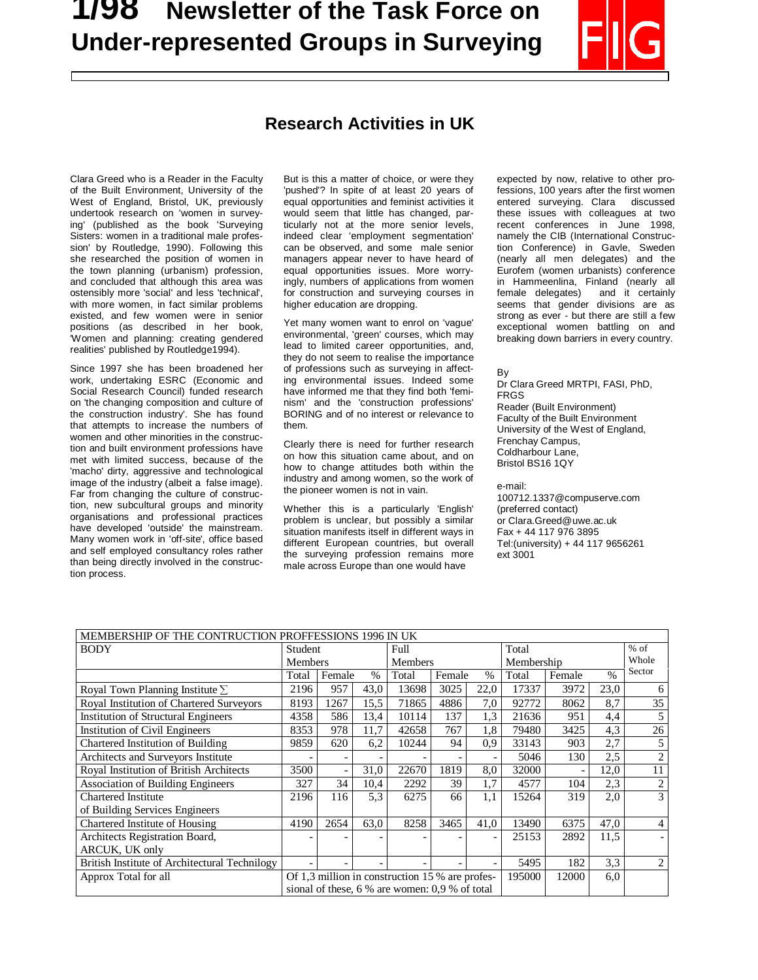# **1/98 Newsletter of the Task Force on Under-represented Groups in Surveying**



## **Research Activities in UK**

Clara Greed who is a Reader in the Faculty of the Built Environment, University of the West of England, Bristol, UK, previously undertook research on 'women in surveying' (published as the book 'Surveying Sisters: women in a traditional male profession' by Routledge, 1990). Following this she researched the position of women in the town planning (urbanism) profession, and concluded that although this area was ostensibly more 'social' and less 'technical', with more women, in fact similar problems existed, and few women were in senior positions (as described in her book, 'Women and planning: creating gendered realities' published by Routledge1994).

 $\overline{a}$ 

Since 1997 she has been broadened her work, undertaking ESRC (Economic and Social Research Council) funded research on 'the changing composition and culture of the construction industry'. She has found that attempts to increase the numbers of women and other minorities in the construction and built environment professions have met with limited success, because of the 'macho' dirty, aggressive and technological image of the industry (albeit a false image). Far from changing the culture of construction, new subcultural groups and minority organisations and professional practices have developed 'outside' the mainstream. Many women work in 'off-site', office based and self employed consultancy roles rather than being directly involved in the construction process.

But is this a matter of choice, or were they 'pushed'? In spite of at least 20 years of equal opportunities and feminist activities it would seem that little has changed, particularly not at the more senior levels, indeed clear 'employment segmentation' can be observed, and some male senior managers appear never to have heard of equal opportunities issues. More worryingly, numbers of applications from women for construction and surveying courses in higher education are dropping.

Yet many women want to enrol on 'vague' environmental, 'green' courses, which may lead to limited career opportunities, and, they do not seem to realise the importance of professions such as surveying in affecting environmental issues. Indeed some have informed me that they find both 'feminism' and the 'construction professions' BORING and of no interest or relevance to them.

Clearly there is need for further research on how this situation came about, and on how to change attitudes both within the industry and among women, so the work of the pioneer women is not in vain.

Whether this is a particularly 'English' problem is unclear, but possibly a similar situation manifests itself in different ways in different European countries, but overall the surveying profession remains more male across Europe than one would have

expected by now, relative to other professions, 100 years after the first women entered surveying. Clara discussed these issues with colleagues at two recent conferences in June 1998, namely the CIB (International Construction Conference) in Gavle, Sweden (nearly all men delegates) and the Eurofem (women urbanists) conference in Hammeenlina, Finland (nearly all<br>female delegates) and it certainly female delegates) seems that gender divisions are as strong as ever - but there are still a few exceptional women battling on and breaking down barriers in every country.

By

Dr Clara Greed MRTPI, FASI, PhD, FRGS Reader (Built Environment) Faculty of the Built Environment University of the West of England, Frenchay Campus, Coldharbour Lane, Bristol BS16 1QY

e-mail:

100712.1337@compuserve.com (preferred contact) or Clara.Greed@uwe.ac.uk Fax + 44 117 976 3895 Tel:(university) + 44 117 9656261 ext 3001

| MEMBERSHIP OF THE CONTRUCTION PROFFESSIONS 1996 IN UK |                                                  |                         |      |                |                         |      |            |        |               |                |
|-------------------------------------------------------|--------------------------------------------------|-------------------------|------|----------------|-------------------------|------|------------|--------|---------------|----------------|
| <b>BODY</b>                                           | Student                                          |                         |      | Full           |                         |      | Total      |        |               | $%$ of         |
|                                                       | Members                                          |                         |      | <b>Members</b> |                         |      | Membership |        |               | Whole          |
|                                                       | Total                                            | Female<br>$\frac{0}{0}$ |      | Total          | Female<br>$\frac{0}{0}$ |      | Total      | Female | $\frac{0}{0}$ | Sector         |
| Royal Town Planning Institute $\Sigma$                | 2196                                             | 957                     | 43,0 | 13698          | 3025                    | 22,0 | 17337      | 3972   | 23,0          | 6              |
| Royal Institution of Chartered Surveyors              | 8193                                             | 1267                    | 15,5 | 71865          | 4886                    | 7,0  | 92772      | 8062   | 8,7           | 35             |
| <b>Institution of Structural Engineers</b>            | 4358                                             | 586                     | 13,4 | 10114          | 137                     | 1,3  | 21636      | 951    | 4,4           |                |
| Institution of Civil Engineers                        | 8353                                             | 978                     | 11,7 | 42658          | 767                     | 1,8  | 79480      | 3425   | 4,3           | 26             |
| Chartered Institution of Building                     | 9859                                             | 620                     | 6,2  | 10244          | 94                      | 0,9  | 33143      | 903    | 2,7           |                |
| Architects and Surveyors Institute                    |                                                  |                         |      |                |                         |      | 5046       | 130    | 2,5           | $\overline{2}$ |
| Royal Institution of British Architects               | 3500                                             |                         | 31,0 | 22670          | 1819                    | 8,0  | 32000      |        | 12,0          | 11             |
| Association of Building Engineers                     | 327                                              | 34                      | 10,4 | 2292           | 39                      | 1,7  | 4577       | 104    | 2,3           | $\mathfrak{2}$ |
| <b>Chartered Institute</b>                            | 2196                                             | 116                     | 5.3  | 6275           | 66                      | 1,1  | 15264      | 319    | 2,0           | 3              |
| of Building Services Engineers                        |                                                  |                         |      |                |                         |      |            |        |               |                |
| Chartered Institute of Housing                        | 4190                                             | 2654                    | 63,0 | 8258           | 3465                    | 41,0 | 13490      | 6375   | 47,0          | $\overline{4}$ |
| Architects Registration Board,                        |                                                  |                         |      |                |                         |      | 25153      | 2892   | 11,5          |                |
| ARCUK, UK only                                        |                                                  |                         |      |                |                         |      |            |        |               |                |
| British Institute of Architectural Technilogy         |                                                  |                         |      |                |                         |      | 5495       | 182    | 3,3           | 2              |
| Approx Total for all                                  | Of 1,3 million in construction 15 % are profes-  |                         |      |                |                         |      | 195000     | 12000  | 6,0           |                |
|                                                       | sional of these, $6\%$ are women: 0.9 % of total |                         |      |                |                         |      |            |        |               |                |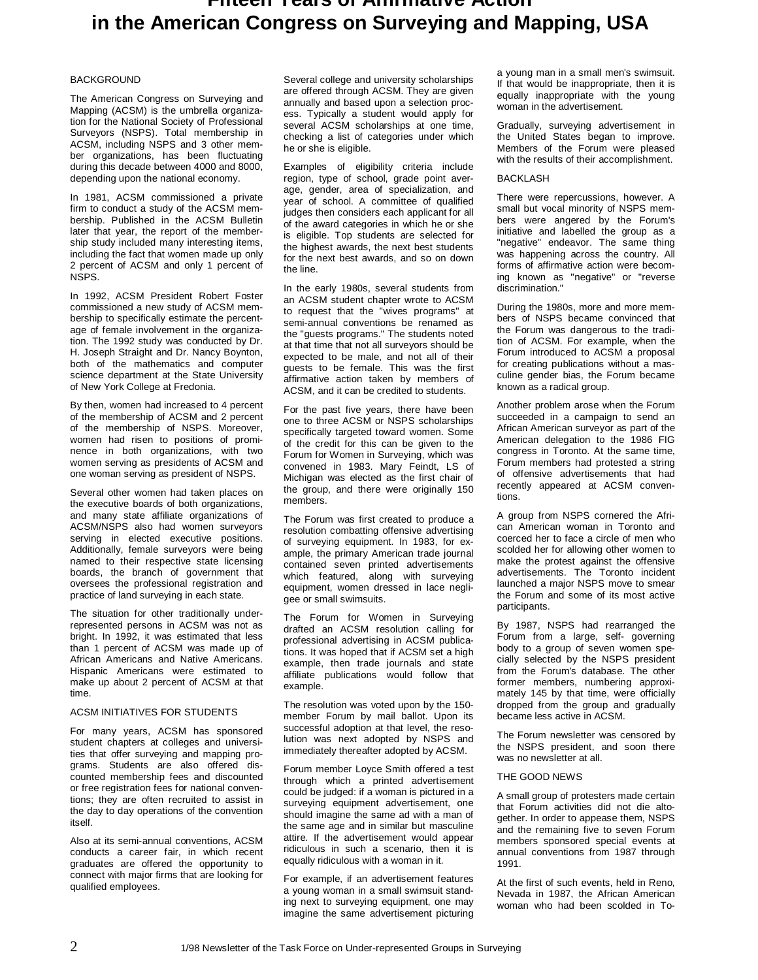### **Fifteen Years of Affirmative Action in the American Congress on Surveying and Mapping, USA**

#### **BACKGROUND**

The American Congress on Surveying and Mapping (ACSM) is the umbrella organization for the National Society of Professional Surveyors (NSPS). Total membership in ACSM, including NSPS and 3 other member organizations, has been fluctuating during this decade between 4000 and 8000, depending upon the national economy.

In 1981, ACSM commissioned a private firm to conduct a study of the ACSM membership. Published in the ACSM Bulletin later that year, the report of the membership study included many interesting items, including the fact that women made up only 2 percent of ACSM and only 1 percent of NSPS.

In 1992, ACSM President Robert Foster commissioned a new study of ACSM membership to specifically estimate the percentage of female involvement in the organization. The 1992 study was conducted by Dr. H. Joseph Straight and Dr. Nancy Boynton, both of the mathematics and computer science department at the State University of New York College at Fredonia.

By then, women had increased to 4 percent of the membership of ACSM and 2 percent of the membership of NSPS. Moreover, women had risen to positions of prominence in both organizations, with two women serving as presidents of ACSM and one woman serving as president of NSPS.

Several other women had taken places on the executive boards of both organizations, and many state affiliate organizations of ACSM/NSPS also had women surveyors serving in elected executive positions. Additionally, female surveyors were being named to their respective state licensing boards, the branch of government that oversees the professional registration and practice of land surveying in each state.

The situation for other traditionally underrepresented persons in ACSM was not as bright. In 1992, it was estimated that less than 1 percent of ACSM was made up of African Americans and Native Americans. Hispanic Americans were estimated to make up about 2 percent of ACSM at that time.

#### ACSM INITIATIVES FOR STUDENTS

For many years, ACSM has sponsored student chapters at colleges and universities that offer surveying and mapping programs. Students are also offered discounted membership fees and discounted or free registration fees for national conventions; they are often recruited to assist in the day to day operations of the convention itself.

Also at its semi-annual conventions, ACSM conducts a career fair, in which recent graduates are offered the opportunity to connect with major firms that are looking for qualified employees.

Several college and university scholarships are offered through ACSM. They are given annually and based upon a selection process. Typically a student would apply for several ACSM scholarships at one time, checking a list of categories under which he or she is eligible.

Examples of eligibility criteria include region, type of school, grade point average, gender, area of specialization, and year of school. A committee of qualified judges then considers each applicant for all of the award categories in which he or she is eligible. Top students are selected for the highest awards, the next best students for the next best awards, and so on down the line.

In the early 1980s, several students from an ACSM student chapter wrote to ACSM to request that the "wives programs" at semi-annual conventions be renamed as the "guests programs." The students noted at that time that not all surveyors should be expected to be male, and not all of their guests to be female. This was the first affirmative action taken by members of ACSM, and it can be credited to students.

For the past five years, there have been one to three ACSM or NSPS scholarships specifically targeted toward women. Some of the credit for this can be given to the Forum for Women in Surveying, which was convened in 1983. Mary Feindt, LS of Michigan was elected as the first chair of the group, and there were originally 150 members.

The Forum was first created to produce a resolution combatting offensive advertising of surveying equipment. In 1983, for example, the primary American trade journal contained seven printed advertisements which featured, along with surveying equipment, women dressed in lace negligee or small swimsuits.

The Forum for Women in Surveying drafted an ACSM resolution calling for professional advertising in ACSM publications. It was hoped that if ACSM set a high example, then trade journals and state affiliate publications would follow that example.

The resolution was voted upon by the 150 member Forum by mail ballot. Upon its successful adoption at that level, the resolution was next adopted by NSPS and immediately thereafter adopted by ACSM.

Forum member Loyce Smith offered a test through which a printed advertisement could be judged: if a woman is pictured in a surveying equipment advertisement, one should imagine the same ad with a man of the same age and in similar but masculine attire. If the advertisement would appear ridiculous in such a scenario, then it is equally ridiculous with a woman in it.

For example, if an advertisement features a young woman in a small swimsuit standing next to surveying equipment, one may imagine the same advertisement picturing

a young man in a small men's swimsuit. If that would be inappropriate, then it is equally inappropriate with the young woman in the advertisement.

Gradually, surveying advertisement in the United States began to improve. Members of the Forum were pleased with the results of their accomplishment.

#### **BACKLASH**

There were repercussions, however. A small but vocal minority of NSPS members were angered by the Forum's initiative and labelled the group as a "negative" endeavor. The same thing was happening across the country. All forms of affirmative action were becoming known as "negative" or "reverse discrimination."

During the 1980s, more and more members of NSPS became convinced that the Forum was dangerous to the tradition of ACSM. For example, when the Forum introduced to ACSM a proposal for creating publications without a masculine gender bias, the Forum became known as a radical group.

Another problem arose when the Forum succeeded in a campaign to send an African American surveyor as part of the American delegation to the 1986 FIG congress in Toronto. At the same time, Forum members had protested a string of offensive advertisements that had recently appeared at ACSM conventions.

A group from NSPS cornered the African American woman in Toronto and coerced her to face a circle of men who scolded her for allowing other women to make the protest against the offensive advertisements. The Toronto incident launched a major NSPS move to smear the Forum and some of its most active participants.

By 1987, NSPS had rearranged the Forum from a large, self- governing body to a group of seven women specially selected by the NSPS president from the Forum's database. The other former members, numbering approximately 145 by that time, were officially dropped from the group and gradually became less active in ACSM.

The Forum newsletter was censored by the NSPS president, and soon there was no newsletter at all.

#### THE GOOD NEWS

A small group of protesters made certain that Forum activities did not die altogether. In order to appease them, NSPS and the remaining five to seven Forum members sponsored special events at annual conventions from 1987 through 1991.

At the first of such events, held in Reno, Nevada in 1987, the African American woman who had been scolded in To-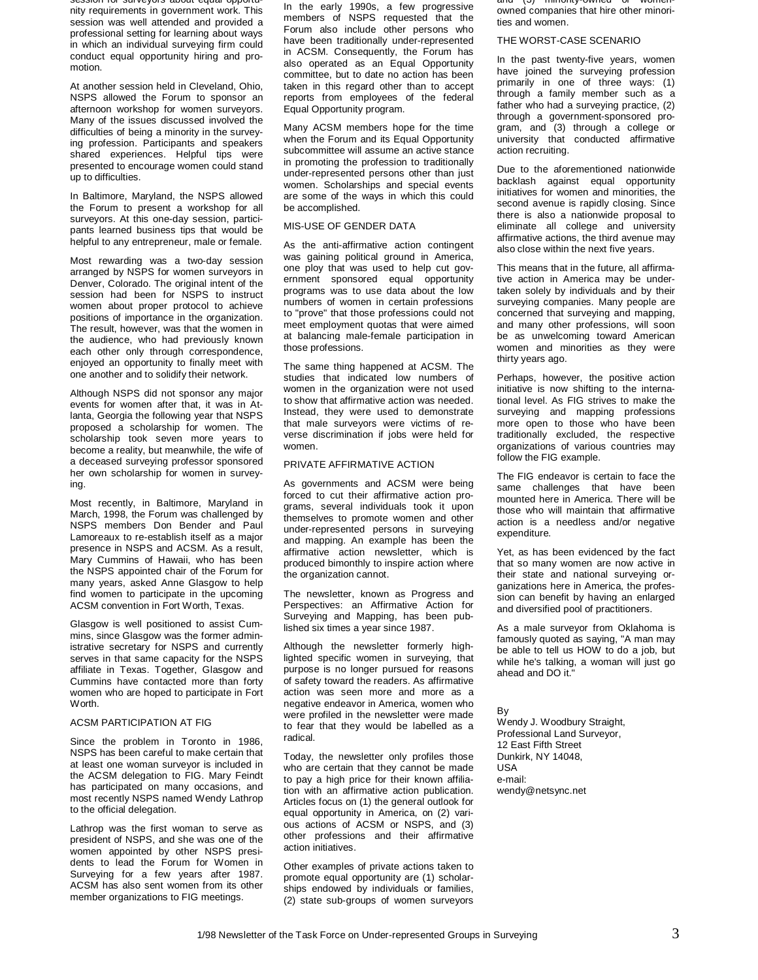session for surveyors about equal opportunity requirements in government work. This session was well attended and provided a professional setting for learning about ways in which an individual surveying firm could conduct equal opportunity hiring and promotion.

At another session held in Cleveland, Ohio, NSPS allowed the Forum to sponsor an afternoon workshop for women surveyors. Many of the issues discussed involved the difficulties of being a minority in the surveying profession. Participants and speakers shared experiences. Helpful tips were presented to encourage women could stand up to difficulties.

In Baltimore, Maryland, the NSPS allowed the Forum to present a workshop for all surveyors. At this one-day session, participants learned business tips that would be helpful to any entrepreneur, male or female.

Most rewarding was a two-day session arranged by NSPS for women surveyors in Denver, Colorado. The original intent of the session had been for NSPS to instruct women about proper protocol to achieve positions of importance in the organization. The result, however, was that the women in the audience, who had previously known each other only through correspondence, enjoyed an opportunity to finally meet with one another and to solidify their network.

Although NSPS did not sponsor any major events for women after that, it was in Atlanta, Georgia the following year that NSPS proposed a scholarship for women. The scholarship took seven more years to become a reality, but meanwhile, the wife of a deceased surveying professor sponsored her own scholarship for women in surveying.

Most recently, in Baltimore, Maryland in March, 1998, the Forum was challenged by NSPS members Don Bender and Paul Lamoreaux to re-establish itself as a major presence in NSPS and ACSM. As a result, Mary Cummins of Hawaii, who has been the NSPS appointed chair of the Forum for many years, asked Anne Glasgow to help find women to participate in the upcoming ACSM convention in Fort Worth, Texas.

Glasgow is well positioned to assist Cummins, since Glasgow was the former administrative secretary for NSPS and currently serves in that same capacity for the NSPS affiliate in Texas. Together, Glasgow and Cummins have contacted more than forty women who are hoped to participate in Fort Worth.

#### ACSM PARTICIPATION AT FIG

Since the problem in Toronto in 1986, NSPS has been careful to make certain that at least one woman surveyor is included in the ACSM delegation to FIG. Mary Feindt has participated on many occasions, and most recently NSPS named Wendy Lathrop to the official delegation.

Lathrop was the first woman to serve as president of NSPS, and she was one of the women appointed by other NSPS presidents to lead the Forum for Women in Surveying for a few years after 1987. ACSM has also sent women from its other member organizations to FIG meetings.

In the early 1990s, a few progressive members of NSPS requested that the Forum also include other persons who have been traditionally under-represented in ACSM. Consequently, the Forum has also operated as an Equal Opportunity committee, but to date no action has been taken in this regard other than to accept reports from employees of the federal Equal Opportunity program.

Many ACSM members hope for the time when the Forum and its Equal Opportunity subcommittee will assume an active stance in promoting the profession to traditionally under-represented persons other than just women. Scholarships and special events are some of the ways in which this could be accomplished.

#### MIS-USE OF GENDER DATA

As the anti-affirmative action contingent was gaining political ground in America, one ploy that was used to help cut government sponsored equal opportunity programs was to use data about the low numbers of women in certain professions to "prove" that those professions could not meet employment quotas that were aimed at balancing male-female participation in those professions.

The same thing happened at ACSM. The studies that indicated low numbers of women in the organization were not used to show that affirmative action was needed. Instead, they were used to demonstrate that male surveyors were victims of reverse discrimination if jobs were held for women.

#### PRIVATE AFFIRMATIVE ACTION

As governments and ACSM were being forced to cut their affirmative action programs, several individuals took it upon themselves to promote women and other under-represented persons in surveying and mapping. An example has been the affirmative action newsletter, which is produced bimonthly to inspire action where the organization cannot.

The newsletter, known as Progress and Perspectives: an Affirmative Action for Surveying and Mapping, has been published six times a year since 1987.

Although the newsletter formerly highlighted specific women in surveying, that purpose is no longer pursued for reasons of safety toward the readers. As affirmative action was seen more and more as a negative endeavor in America, women who were profiled in the newsletter were made to fear that they would be labelled as a radical.

Today, the newsletter only profiles those who are certain that they cannot be made to pay a high price for their known affiliation with an affirmative action publication. Articles focus on (1) the general outlook for equal opportunity in America, on (2) various actions of ACSM or NSPS, and (3) other professions and their affirmative action initiatives.

Other examples of private actions taken to promote equal opportunity are (1) scholarships endowed by individuals or families, (2) state sub-groups of women surveyors

and (3) minority-owned or womenowned companies that hire other minorities and women.

#### THE WORST-CASE SCENARIO

In the past twenty-five years, women have joined the surveying profession primarily in one of three ways: (1) through a family member such as a father who had a surveying practice, (2) through a government-sponsored program, and (3) through a college or university that conducted affirmative action recruiting.

Due to the aforementioned nationwide backlash against equal opportunity initiatives for women and minorities, the second avenue is rapidly closing. Since there is also a nationwide proposal to eliminate all college and university affirmative actions, the third avenue may also close within the next five years.

This means that in the future, all affirmative action in America may be undertaken solely by individuals and by their surveying companies. Many people are concerned that surveying and mapping, and many other professions, will soon be as unwelcoming toward American women and minorities as they were thirty years ago.

Perhaps, however, the positive action initiative is now shifting to the international level. As FIG strives to make the surveying and mapping professions more open to those who have been traditionally excluded, the respective organizations of various countries may follow the FIG example.

The FIG endeavor is certain to face the same challenges that have been mounted here in America. There will be those who will maintain that affirmative action is a needless and/or negative expenditure.

Yet, as has been evidenced by the fact that so many women are now active in their state and national surveying organizations here in America, the profession can benefit by having an enlarged and diversified pool of practitioners.

As a male surveyor from Oklahoma is famously quoted as saying, "A man may be able to tell us HOW to do a job, but while he's talking, a woman will just go ahead and DO it."

By Wendy J. Woodbury Straight, Professional Land Surveyor, 12 East Fifth Street Dunkirk, NY 14048, USA e-mail: wendy@netsync.net